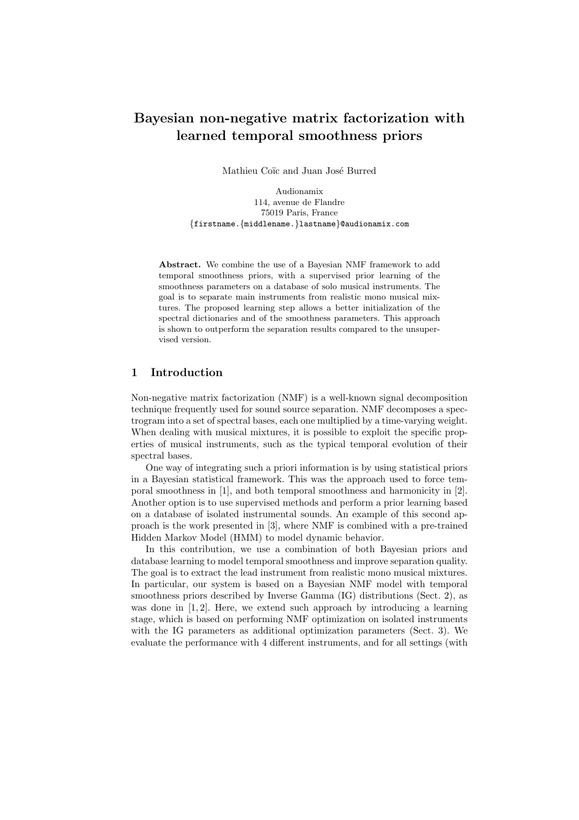# Bayesian non-negative matrix factorization with learned temporal smoothness priors

Mathieu Coïc and Juan José Burred

Audionamix 114, avenue de Flandre 75019 Paris, France {firstname.{middlename.}lastname}@audionamix.com

Abstract. We combine the use of a Bayesian NMF framework to add temporal smoothness priors, with a supervised prior learning of the smoothness parameters on a database of solo musical instruments. The goal is to separate main instruments from realistic mono musical mixtures. The proposed learning step allows a better initialization of the spectral dictionaries and of the smoothness parameters. This approach is shown to outperform the separation results compared to the unsupervised version.

# 1 Introduction

Non-negative matrix factorization (NMF) is a well-known signal decomposition technique frequently used for sound source separation. NMF decomposes a spectrogram into a set of spectral bases, each one multiplied by a time-varying weight. When dealing with musical mixtures, it is possible to exploit the specific properties of musical instruments, such as the typical temporal evolution of their spectral bases.

One way of integrating such a priori information is by using statistical priors in a Bayesian statistical framework. This was the approach used to force temporal smoothness in [1], and both temporal smoothness and harmonicity in [2]. Another option is to use supervised methods and perform a prior learning based on a database of isolated instrumental sounds. An example of this second approach is the work presented in [3], where NMF is combined with a pre-trained Hidden Markov Model (HMM) to model dynamic behavior.

In this contribution, we use a combination of both Bayesian priors and database learning to model temporal smoothness and improve separation quality. The goal is to extract the lead instrument from realistic mono musical mixtures. In particular, our system is based on a Bayesian NMF model with temporal smoothness priors described by Inverse Gamma (IG) distributions (Sect. 2), as was done in [1, 2]. Here, we extend such approach by introducing a learning stage, which is based on performing NMF optimization on isolated instruments with the IG parameters as additional optimization parameters (Sect. 3). We evaluate the performance with 4 different instruments, and for all settings (with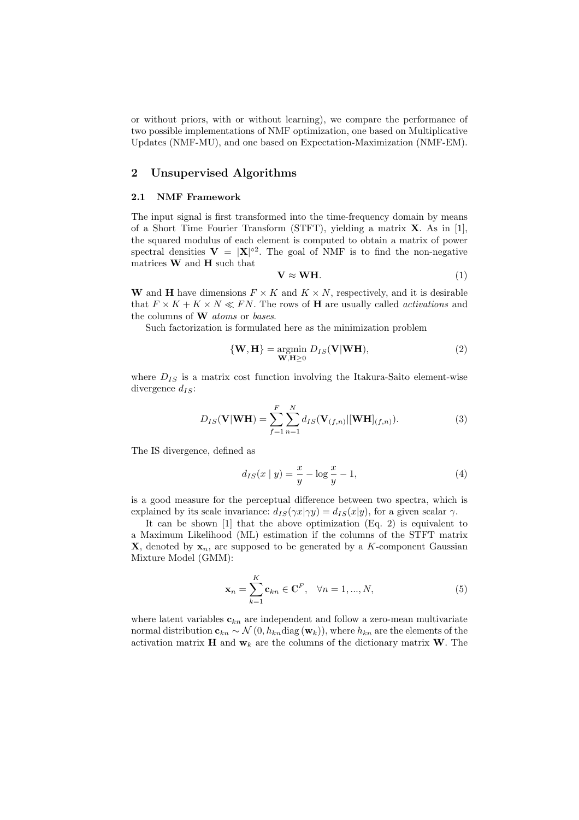or without priors, with or without learning), we compare the performance of two possible implementations of NMF optimization, one based on Multiplicative Updates (NMF-MU), and one based on Expectation-Maximization (NMF-EM).

## 2 Unsupervised Algorithms

## 2.1 NMF Framework

The input signal is first transformed into the time-frequency domain by means of a Short Time Fourier Transform (STFT), yielding a matrix X. As in [1], the squared modulus of each element is computed to obtain a matrix of power spectral densities  $V = |X|^{\circ 2}$ . The goal of NMF is to find the non-negative matrices  $\bf{W}$  and  $\bf{H}$  such that

$$
V \approx WH. \tag{1}
$$

W and H have dimensions  $F \times K$  and  $K \times N$ , respectively, and it is desirable that  $F \times K + K \times N \ll FN$ . The rows of **H** are usually called *activations* and the columns of **W** atoms or bases.

Such factorization is formulated here as the minimization problem

$$
\{W, H\} = \underset{W, H \ge 0}{\text{argmin}} D_{IS}(V|WH), \tag{2}
$$

where  $D_{IS}$  is a matrix cost function involving the Itakura-Saito element-wise divergence  $d_{IS}$ :

$$
D_{IS}(\mathbf{V}|\mathbf{WH}) = \sum_{f=1}^{F} \sum_{n=1}^{N} d_{IS}(\mathbf{V}_{(f,n)}|[\mathbf{WH}]_{(f,n)}).
$$
 (3)

The IS divergence, defined as

$$
d_{IS}(x \mid y) = \frac{x}{y} - \log \frac{x}{y} - 1,\tag{4}
$$

is a good measure for the perceptual difference between two spectra, which is explained by its scale invariance:  $d_{IS}(\gamma x|\gamma y) = d_{IS}(x|y)$ , for a given scalar  $\gamma$ .

It can be shown [1] that the above optimization (Eq. 2) is equivalent to a Maximum Likelihood (ML) estimation if the columns of the STFT matrix **X**, denoted by  $x_n$ , are supposed to be generated by a K-component Gaussian Mixture Model (GMM):

$$
\mathbf{x}_n = \sum_{k=1}^K \mathbf{c}_{kn} \in \mathbb{C}^F, \quad \forall n = 1, ..., N,
$$
 (5)

where latent variables  $c_{kn}$  are independent and follow a zero-mean multivariate normal distribution  $c_{kn} \sim \mathcal{N}(0, h_{kn} \text{diag}(\mathbf{w}_k))$ , where  $h_{kn}$  are the elements of the activation matrix **H** and  $\mathbf{w}_k$  are the columns of the dictionary matrix **W**. The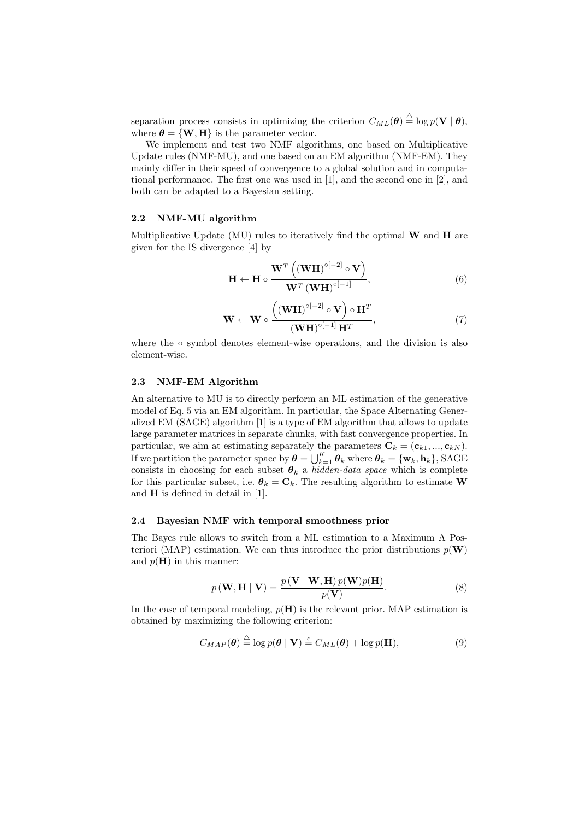separation process consists in optimizing the criterion  $C_{ML}(\theta) \stackrel{\triangle}{=} \log p(\mathbf{V} | \theta)$ , where  $\boldsymbol{\theta} = {\bf{W},H}$  is the parameter vector.

We implement and test two NMF algorithms, one based on Multiplicative Update rules (NMF-MU), and one based on an EM algorithm (NMF-EM). They mainly differ in their speed of convergence to a global solution and in computational performance. The first one was used in [1], and the second one in [2], and both can be adapted to a Bayesian setting.

#### 2.2 NMF-MU algorithm

Multiplicative Update (MU) rules to iteratively find the optimal  $W$  and  $H$  are given for the IS divergence [4] by

$$
\mathbf{H} \leftarrow \mathbf{H} \circ \frac{\mathbf{W}^T \left( (\mathbf{W} \mathbf{H})^{\circ [-2]} \circ \mathbf{V} \right)}{\mathbf{W}^T \left( \mathbf{W} \mathbf{H} \right)^{\circ [-1]}},\tag{6}
$$

$$
\mathbf{W} \leftarrow \mathbf{W} \circ \frac{\left((\mathbf{W}\mathbf{H})^{\circ[-2]} \circ \mathbf{V}\right) \circ \mathbf{H}^T}{\left((\mathbf{W}\mathbf{H})^{\circ[-1]}\mathbf{H}^T},\tag{7}
$$

where the ∘ symbol denotes element-wise operations, and the division is also element-wise.

### 2.3 NMF-EM Algorithm

An alternative to MU is to directly perform an ML estimation of the generative model of Eq. 5 via an EM algorithm. In particular, the Space Alternating Generalized EM (SAGE) algorithm [1] is a type of EM algorithm that allows to update large parameter matrices in separate chunks, with fast convergence properties. In particular, we aim at estimating separately the parameters  $\mathbf{C}_k = (\mathbf{c}_{k1}, ..., \mathbf{c}_{kN}).$ If we partition the parameter space by  $\boldsymbol{\theta} = \bigcup_{k=1}^K \boldsymbol{\theta}_k$  where  $\boldsymbol{\theta}_k = \{\mathbf{w}_k, \mathbf{h}_k\}$ , SAGE consists in choosing for each subset  $\theta_k$  a hidden-data space which is complete for this particular subset, i.e.  $\boldsymbol{\theta}_k = \mathbf{C}_k$ . The resulting algorithm to estimate **W** and H is defined in detail in [1].

#### 2.4 Bayesian NMF with temporal smoothness prior

The Bayes rule allows to switch from a ML estimation to a Maximum A Posteriori (MAP) estimation. We can thus introduce the prior distributions  $p(\mathbf{W})$ and  $p(H)$  in this manner:

$$
p(\mathbf{W}, \mathbf{H} \mid \mathbf{V}) = \frac{p(\mathbf{V} \mid \mathbf{W}, \mathbf{H}) p(\mathbf{W}) p(\mathbf{H})}{p(\mathbf{V})}.
$$
 (8)

In the case of temporal modeling,  $p(H)$  is the relevant prior. MAP estimation is obtained by maximizing the following criterion:

$$
C_{MAP}(\boldsymbol{\theta}) \stackrel{\triangle}{=} \log p(\boldsymbol{\theta} \mid \mathbf{V}) \stackrel{c}{=} C_{ML}(\boldsymbol{\theta}) + \log p(\mathbf{H}), \tag{9}
$$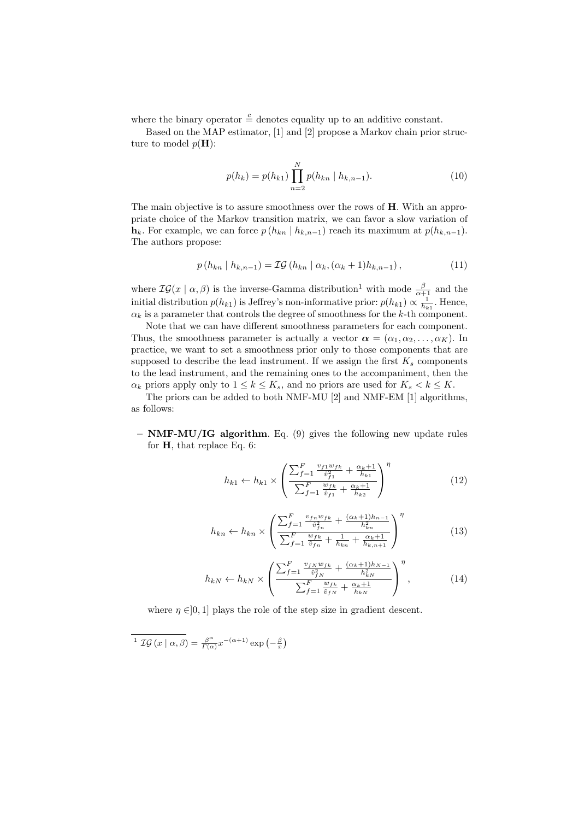where the binary operator  $\frac{c}{q}$  denotes equality up to an additive constant.

Based on the MAP estimator, [1] and [2] propose a Markov chain prior structure to model  $p(\mathbf{H})$ :

$$
p(h_k) = p(h_{k1}) \prod_{n=2}^{N} p(h_{kn} \mid h_{k,n-1}).
$$
\n(10)

The main objective is to assure smoothness over the rows of H. With an appropriate choice of the Markov transition matrix, we can favor a slow variation of  $h_k$ . For example, we can force  $p(h_{kn} | h_{k,n-1})$  reach its maximum at  $p(h_{k,n-1})$ . The authors propose:

$$
p(h_{kn} | h_{k,n-1}) = \mathcal{IG}(h_{kn} | \alpha_k, (\alpha_k + 1)h_{k,n-1}), \qquad (11)
$$

where  $\mathcal{IG}(x \mid \alpha, \beta)$  is the inverse-Gamma distribution<sup>1</sup> with mode  $\frac{\beta}{\alpha+1}$  and the initial distribution  $p(h_{k1})$  is Jeffrey's non-informative prior:  $p(h_{k1}) \propto \frac{1}{h_{k1}}$ . Hence,  $\alpha_k$  is a parameter that controls the degree of smoothness for the k-th component.

Note that we can have different smoothness parameters for each component. Thus, the smoothness parameter is actually a vector  $\alpha = (\alpha_1, \alpha_2, \dots, \alpha_K)$ . In practice, we want to set a smoothness prior only to those components that are supposed to describe the lead instrument. If we assign the first  $K_s$  components to the lead instrument, and the remaining ones to the accompaniment, then the  $\alpha_k$  priors apply only to  $1 \leq k \leq K_s$ , and no priors are used for  $K_s < k \leq K$ .

The priors can be added to both NMF-MU [2] and NMF-EM [1] algorithms, as follows:

 $-$  **NMF-MU/IG algorithm.** Eq. (9) gives the following new update rules for H, that replace Eq. 6:

$$
h_{k1} \leftarrow h_{k1} \times \left( \frac{\sum_{f=1}^{F} \frac{v_{f1} w_{fk}}{\hat{v}_{f1}^2} + \frac{\alpha_k + 1}{h_{k1}}}{\sum_{f=1}^{F} \frac{w_{fk}}{\hat{v}_{f1}} + \frac{\alpha_k + 1}{h_{k2}}} \right)^{\eta} \tag{12}
$$

$$
h_{kn} \leftarrow h_{kn} \times \left( \frac{\sum_{f=1}^{F} \frac{v_{fn} w_{fk}}{\hat{v}_{fn}^2} + \frac{(\alpha_k + 1)h_{n-1}}{h_{kn}^2}}{\sum_{f=1}^{F} \frac{w_{fk}}{\hat{v}_{fn}} + \frac{1}{h_{kn}} + \frac{\alpha_k + 1}{h_{kn+1}}} \right)^{\eta}
$$
(13)

$$
h_{kN} \leftarrow h_{kN} \times \left( \frac{\sum_{f=1}^{F} \frac{v_{fN} w_{fk}}{\hat{v}_{fN}^2} + \frac{(\alpha_k + 1)h_{N-1}}{h_{kN}^2}}{\sum_{f=1}^{F} \frac{w_{fk}}{\hat{v}_{fN}} + \frac{\alpha_k + 1}{h_{kN}}} \right)^{\eta}, \tag{14}
$$

where  $\eta \in ]0,1]$  plays the role of the step size in gradient descent.

<sup>1</sup>  $\mathcal{IG}(x \mid \alpha, \beta) = \frac{\beta^{\alpha}}{\Gamma(\alpha)}$  $\frac{\beta^{\alpha}}{\Gamma(\alpha)}x^{-(\alpha+1)}\exp\left(-\frac{\beta}{x}\right)$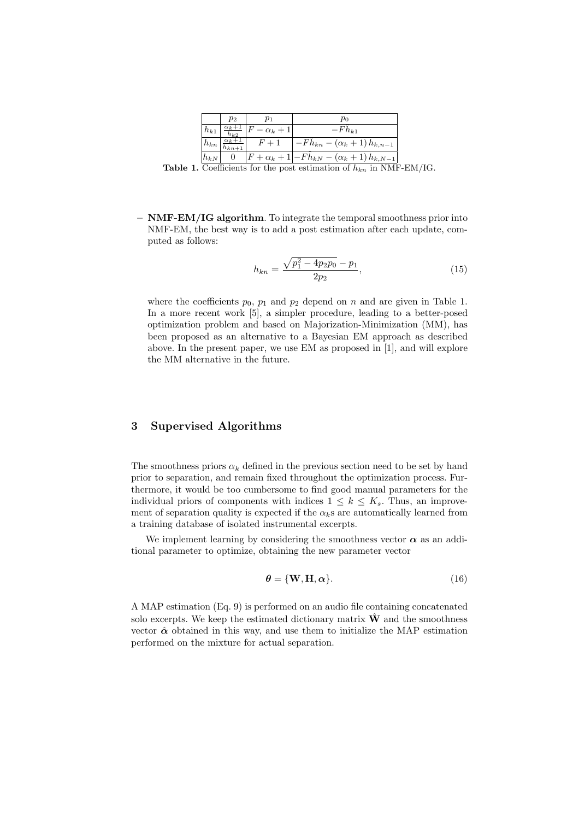|            | $p_2$                               | $\,p_1$              | $p_0$                                                       |
|------------|-------------------------------------|----------------------|-------------------------------------------------------------|
| $h_{k1}$   | $\alpha_k+1$<br>$\overline{h_{k2}}$ | $ F - \alpha_k + 1 $ | $-Fh_{k1}$                                                  |
| $h_{kn}$   | $\alpha_k+1$<br>$h_{kn+1}$          |                      | $-Fh_{kn} - (\alpha_k + 1)h_{k,n-1}$                        |
| $ h_{kN} $ |                                     |                      | $ F + \alpha_k + 1  - F h_{kN} - (\alpha_k + 1) h_{k,N-1} $ |

Table 1. Coefficients for the post estimation of  $h_{kn}$  in NMF-EM/IG.

– NMF-EM/IG algorithm. To integrate the temporal smoothness prior into NMF-EM, the best way is to add a post estimation after each update, computed as follows:

$$
h_{kn} = \frac{\sqrt{p_1^2 - 4p_2p_0} - p_1}{2p_2},\tag{15}
$$

where the coefficients  $p_0$ ,  $p_1$  and  $p_2$  depend on n and are given in Table 1. In a more recent work [5], a simpler procedure, leading to a better-posed optimization problem and based on Majorization-Minimization (MM), has been proposed as an alternative to a Bayesian EM approach as described above. In the present paper, we use EM as proposed in [1], and will explore the MM alternative in the future.

## 3 Supervised Algorithms

The smoothness priors  $\alpha_k$  defined in the previous section need to be set by hand prior to separation, and remain fixed throughout the optimization process. Furthermore, it would be too cumbersome to find good manual parameters for the individual priors of components with indices  $1 \leq k \leq K_s$ . Thus, an improvement of separation quality is expected if the  $\alpha_k$ s are automatically learned from a training database of isolated instrumental excerpts.

We implement learning by considering the smoothness vector  $\alpha$  as an additional parameter to optimize, obtaining the new parameter vector

$$
\boldsymbol{\theta} = \{ \mathbf{W}, \mathbf{H}, \boldsymbol{\alpha} \}.
$$
 (16)

A MAP estimation (Eq. 9) is performed on an audio file containing concatenated solo excerpts. We keep the estimated dictionary matrix  $\hat{\mathbf{W}}$  and the smoothness vector  $\hat{\alpha}$  obtained in this way, and use them to initialize the MAP estimation performed on the mixture for actual separation.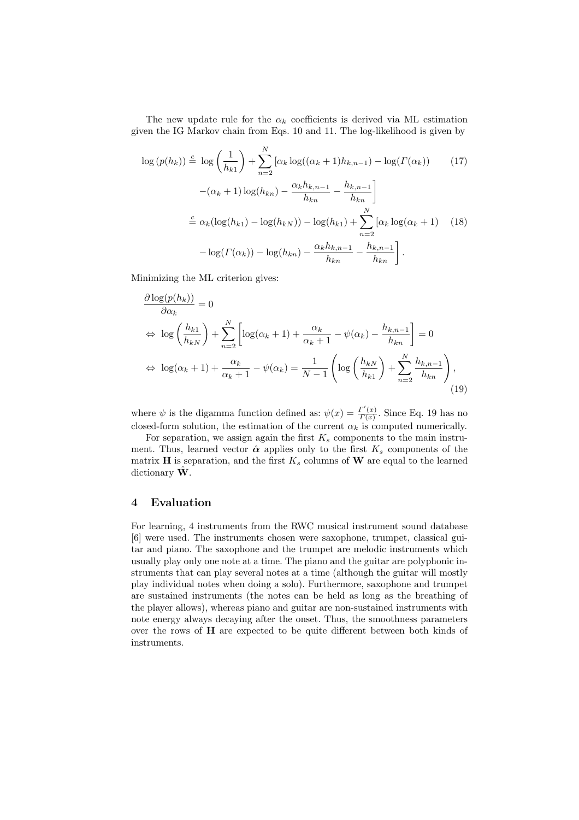The new update rule for the  $\alpha_k$  coefficients is derived via ML estimation given the IG Markov chain from Eqs. 10 and 11. The log-likelihood is given by

$$
\log (p(h_k)) \stackrel{c}{=} \log \left(\frac{1}{h_{k1}}\right) + \sum_{n=2}^{N} \left[\alpha_k \log((\alpha_k + 1)h_{k,n-1}) - \log(\Gamma(\alpha_k))\right] \tag{17}
$$

$$
-(\alpha_k + 1)\log(h_{kn}) - \frac{\alpha_k h_{k,n-1}}{h_{kn}} - \frac{h_{k,n-1}}{h_{kn}}\right]
$$

$$
\stackrel{c}{=} \alpha_k (\log(h_{k1}) - \log(h_{kN})) - \log(h_{k1}) + \sum_{n=2}^{N} \left[\alpha_k \log(\alpha_k + 1)\right] \tag{18}
$$

$$
-\log(\Gamma(\alpha_k)) - \log(h_{kn}) - \frac{\alpha_k h_{k,n-1}}{h_{kn}} - \frac{h_{k,n-1}}{h_{kn}}\right].
$$

Minimizing the ML criterion gives:

$$
\frac{\partial \log(p(h_k))}{\partial \alpha_k} = 0
$$
\n
$$
\Leftrightarrow \log\left(\frac{h_{k1}}{h_{kN}}\right) + \sum_{n=2}^N \left[ \log(\alpha_k + 1) + \frac{\alpha_k}{\alpha_k + 1} - \psi(\alpha_k) - \frac{h_{k,n-1}}{h_{kn}} \right] = 0
$$
\n
$$
\Leftrightarrow \log(\alpha_k + 1) + \frac{\alpha_k}{\alpha_k + 1} - \psi(\alpha_k) = \frac{1}{N - 1} \left( \log\left(\frac{h_{kN}}{h_{k1}}\right) + \sum_{n=2}^N \frac{h_{k,n-1}}{h_{kn}} \right), \tag{19}
$$

where  $\psi$  is the digamma function defined as:  $\psi(x) = \frac{\Gamma'(x)}{\Gamma(x)}$  $\frac{I(x)}{I(x)}$ . Since Eq. 19 has no closed-form solution, the estimation of the current  $\alpha_k$  is computed numerically.

For separation, we assign again the first  $K_s$  components to the main instrument. Thus, learned vector  $\hat{\boldsymbol{\alpha}}$  applies only to the first  $K_s$  components of the matrix  $\bf{H}$  is separation, and the first  $K_s$  columns of  $\bf{W}$  are equal to the learned dictionary  $\hat{\mathbf{W}}$ .

## 4 Evaluation

For learning, 4 instruments from the RWC musical instrument sound database [6] were used. The instruments chosen were saxophone, trumpet, classical guitar and piano. The saxophone and the trumpet are melodic instruments which usually play only one note at a time. The piano and the guitar are polyphonic instruments that can play several notes at a time (although the guitar will mostly play individual notes when doing a solo). Furthermore, saxophone and trumpet are sustained instruments (the notes can be held as long as the breathing of the player allows), whereas piano and guitar are non-sustained instruments with note energy always decaying after the onset. Thus, the smoothness parameters over the rows of H are expected to be quite different between both kinds of instruments.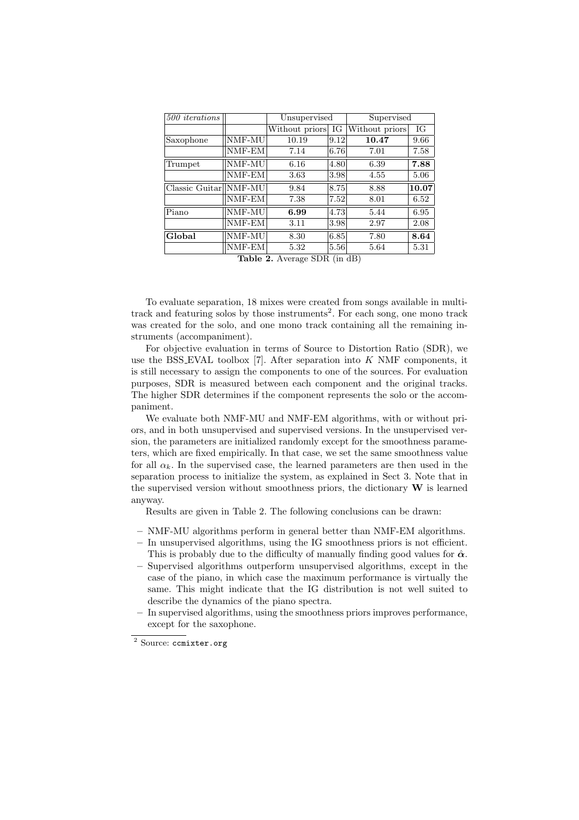| 500 iterations          |                             |                   | Unsupervised |                | Supervised |  |
|-------------------------|-----------------------------|-------------------|--------------|----------------|------------|--|
|                         |                             | Without priors IG |              | Without priors | IG         |  |
| Saxophone               | $\overline{\text{NMF}}$ -MU | 10.19             | 9.12         | 10.47          | 9.66       |  |
|                         | NMF-EM                      | 7.14              | 6.76         | 7.01           | 7.58       |  |
| Trumpet                 | NMF-MU                      | 6.16              | 4.80         | 6.39           | 7.88       |  |
|                         | NMF-EM                      | 3.63              | 3.98         | 4.55           | 5.06       |  |
| $Classic$ Guitar NMF-MU |                             | 9.84              | 8.75         | 8.88           | 10.07      |  |
|                         | NMF-EM                      | 7.38              | 7.52         | 8.01           | 6.52       |  |
| Piano                   | NMF-MU                      | 6.99              | 4.73         | 5.44           | 6.95       |  |
|                         | $NMF-EM$                    | 3.11              | 3.98         | 2.97           | 2.08       |  |
| Global                  | NMF-MU                      | 8.30              | 6.85         | 7.80           | 8.64       |  |
|                         | NMF-EM                      | 5.32              | 5.56         | 5.64           | 5.31       |  |

Table 2. Average SDR (in dB)

To evaluate separation, 18 mixes were created from songs available in multitrack and featuring solos by those instruments<sup>2</sup>. For each song, one mono track was created for the solo, and one mono track containing all the remaining instruments (accompaniment).

For objective evaluation in terms of Source to Distortion Ratio (SDR), we use the BSS\_EVAL toolbox  $[7]$ . After separation into K NMF components, it is still necessary to assign the components to one of the sources. For evaluation purposes, SDR is measured between each component and the original tracks. The higher SDR determines if the component represents the solo or the accompaniment.

We evaluate both NMF-MU and NMF-EM algorithms, with or without priors, and in both unsupervised and supervised versions. In the unsupervised version, the parameters are initialized randomly except for the smoothness parameters, which are fixed empirically. In that case, we set the same smoothness value for all  $\alpha_k$ . In the supervised case, the learned parameters are then used in the separation process to initialize the system, as explained in Sect 3. Note that in the supervised version without smoothness priors, the dictionary  $\bf{W}$  is learned anyway.

Results are given in Table 2. The following conclusions can be drawn:

- NMF-MU algorithms perform in general better than NMF-EM algorithms.
- In unsupervised algorithms, using the IG smoothness priors is not efficient. This is probably due to the difficulty of manually finding good values for  $\hat{\boldsymbol{\alpha}}$ .
- Supervised algorithms outperform unsupervised algorithms, except in the case of the piano, in which case the maximum performance is virtually the same. This might indicate that the IG distribution is not well suited to describe the dynamics of the piano spectra.
- In supervised algorithms, using the smoothness priors improves performance, except for the saxophone.

<sup>&</sup>lt;sup>2</sup> Source: ccmixter.org